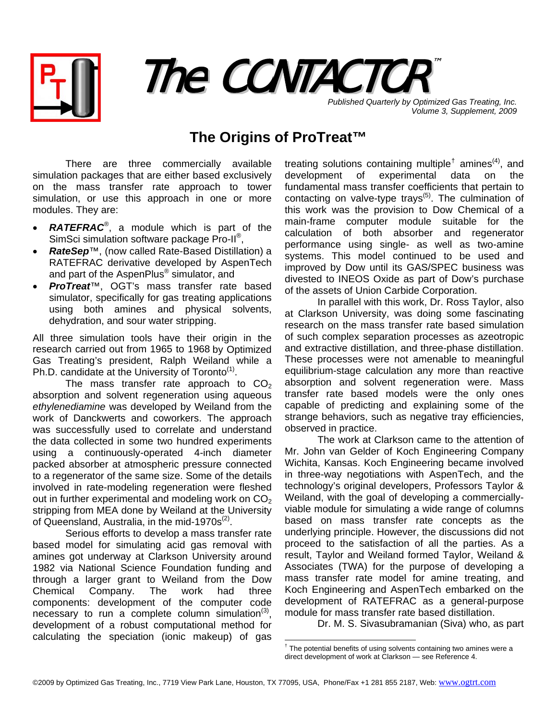



**Published Quarterly by Optimized Gas Treating, Inc.** *Volume 3, Supplement, 2009*

## **The Origins of ProTreat™**

There are three commercially available simulation packages that are either based exclusively on the mass transfer rate approach to tower simulation, or use this approach in one or more modules. They are:

- *RATEFRAC*®, a module which is part of the SimSci simulation software package Pro-II®,
- *RateSep*™, (now called Rate-Based Distillation) a RATEFRAC derivative developed by AspenTech and part of the AspenPlus<sup>®</sup> simulator, and
- *ProTreat*™, OGT's mass transfer rate based simulator, specifically for gas treating applications using both amines and physical solvents, dehydration, and sour water stripping.

All three simulation tools have their origin in the research carried out from 1965 to 1968 by Optimized Gas Treating's president, Ralph Weiland while a Ph.D. candidate at the University of Toronto<sup>(1)</sup>.

The mass transfer rate approach to  $CO<sub>2</sub>$ absorption and solvent regeneration using aqueous *ethylenediamine* was developed by Weiland from the work of Danckwerts and coworkers. The approach was successfully used to correlate and understand the data collected in some two hundred experiments using a continuously-operated 4-inch diameter packed absorber at atmospheric pressure connected to a regenerator of the same size. Some of the details involved in rate-modeling regeneration were fleshed out in further experimental and modeling work on  $CO<sub>2</sub>$ stripping from MEA done by Weiland at the University of Queensland, Australia, in the mid-1970 $s^{(2)}$ .

<span id="page-0-0"></span>Serious efforts to develop a mass transfer rate based model for simulating acid gas removal with amines got underway at Clarkson University around 1982 via National Science Foundation funding and through a larger grant to Weiland from the Dow Chemical Company. The work had three components: development of the computer code necessary to run a complete column simulation $^{(3)}$ . development of a robust computational method for calculating the speciation (ionic makeup) of gas

treating solutions containing multiple<sup>[†](#page-0-0)</sup> amines<sup>(4)</sup>, and development of experimental data on the fundamental mass transfer coefficients that pertain to contacting on valve-type trays<sup> $(5)$ </sup>. The culmination of this work was the provision to Dow Chemical of a main-frame computer module suitable for the calculation of both absorber and regenerator performance using single- as well as two-amine systems. This model continued to be used and improved by Dow until its GAS/SPEC business was divested to INEOS Oxide as part of Dow's purchase of the assets of Union Carbide Corporation.

In parallel with this work, Dr. Ross Taylor, also at Clarkson University, was doing some fascinating research on the mass transfer rate based simulation of such complex separation processes as azeotropic and extractive distillation, and three-phase distillation. These processes were not amenable to meaningful equilibrium-stage calculation any more than reactive absorption and solvent regeneration were. Mass transfer rate based models were the only ones capable of predicting and explaining some of the strange behaviors, such as negative tray efficiencies, observed in practice.

The work at Clarkson came to the attention of Mr. John van Gelder of Koch Engineering Company Wichita, Kansas. Koch Engineering became involved in three-way negotiations with AspenTech, and the technology's original developers, Professors Taylor & Weiland, with the goal of developing a commerciallyviable module for simulating a wide range of columns based on mass transfer rate concepts as the underlying principle. However, the discussions did not proceed to the satisfaction of all the parties. As a result, Taylor and Weiland formed Taylor, Weiland & Associates (TWA) for the purpose of developing a mass transfer rate model for amine treating, and Koch Engineering and AspenTech embarked on the development of RATEFRAC as a general-purpose module for mass transfer rate based distillation.

Dr. M. S. Sivasubramanian (Siva) who, as part

 $\overline{a}$ 

<sup>&</sup>lt;sup>†</sup> The potential benefits of using solvents containing two amines were a direct development of work at Clarkson — see Reference 4.